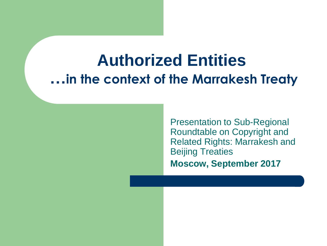#### **Authorized Entities …in the context of the Marrakesh Treaty**

Presentation to Sub-Regional Roundtable on Copyright and Related Rights: Marrakesh and Beijing Treaties **Moscow, September 2017**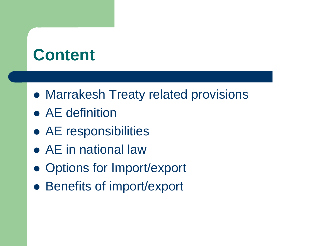# **Content**

- Marrakesh Treaty related provisions
- AE definition
- AE responsibilities
- AE in national law
- Options for Import/export
- Benefits of import/export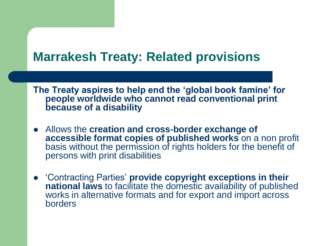#### **Marrakesh Treaty: Related provisions**

**The Treaty aspires to help end the 'global book famine' for people worldwide who cannot read conventional print because of a disability**

- Allows the **creation and cross-border exchange of accessible format copies of published works** on a non profit basis without the permission of rights holders for the benefit of persons with print disabilities
- 'Contracting Parties' **provide copyright exceptions in their national laws** to facilitate the domestic availability of published works in alternative formats and for export and import across borders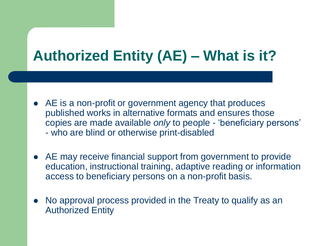### **Authorized Entity (AE) – What is it?**

- AE is a non-profit or government agency that produces published works in alternative formats and ensures those copies are made available *only* to people - 'beneficiary persons' - who are blind or otherwise print-disabled
- AE may receive financial support from government to provide education, instructional training, adaptive reading or information access to beneficiary persons on a non-profit basis.
- No approval process provided in the Treaty to qualify as an Authorized Entity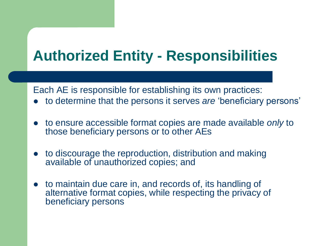### **Authorized Entity - Responsibilities**

Each AE is responsible for establishing its own practices:

- to determine that the persons it serves *are* 'beneficiary persons'
- to ensure accessible format copies are made available *only* to those beneficiary persons or to other AEs
- to discourage the reproduction, distribution and making available of unauthorized copies; and
- to maintain due care in, and records of, its handling of alternative format copies, while respecting the privacy of beneficiary persons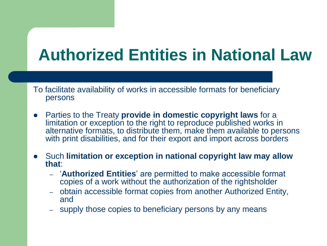# **Authorized Entities in National Law**

To facilitate availability of works in accessible formats for beneficiary persons

- Parties to the Treaty **provide in domestic copyright laws** for a limitation or exception to the right to reproduce published works in alternative formats, to distribute them, make them available to persons with print disabilities, and for their export and import across borders
- Such **limitation or exception in national copyright law may allow that**:
	- '**Authorized Entities**' are permitted to make accessible format copies of a work without the authorization of the rightsholder
	- obtain accessible format copies from another Authorized Entity, and
	- supply those copies to beneficiary persons by any means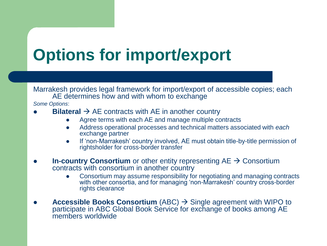# **Options for import/export**

Marrakesh provides legal framework for import/export of accessible copies; each AE determines how and with whom to exchange

*Some Options*:

- **Bilateral**  $\rightarrow$  **AE contracts with AE in another country** 
	- Agree terms with each AE and manage multiple contracts
	- Address operational processes and technical matters associated with *each*  exchange partner
	- If 'non-Marrakesh' country involved, AE must obtain title-by-title permission of rightsholder for cross-border transfer
- **In-country Consortium** or other entity representing  $AE \rightarrow$  Consortium contracts with consortium in another country
	- Consortium may assume responsibility for negotiating and managing contracts with other consortia, and for managing 'non-Marrakesh' country cross-border rights clearance
- **Accessible Books Consortium** (ABC)  $\rightarrow$  Single agreement with WIPO to participate in ABC Global Book Service for exchange of books among AE members worldwide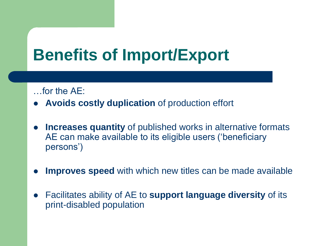# **Benefits of Import/Export**

…for the AE:

- **Avoids costly duplication** of production effort
- **Increases quantity** of published works in alternative formats AE can make available to its eligible users ('beneficiary persons')
- **Improves speed** with which new titles can be made available
- Facilitates ability of AE to **support language diversity** of its print-disabled population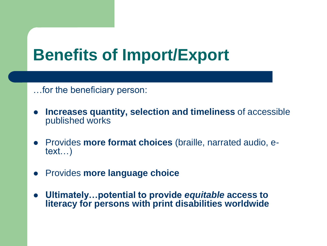# **Benefits of Import/Export**

…for the beneficiary person:

- **Increases quantity, selection and timeliness** of accessible published works
- Provides **more format choices** (braille, narrated audio, etext…)
- Provides **more language choice**
- **Ultimately…potential to provide** *equitable* **access to literacy for persons with print disabilities worldwide**